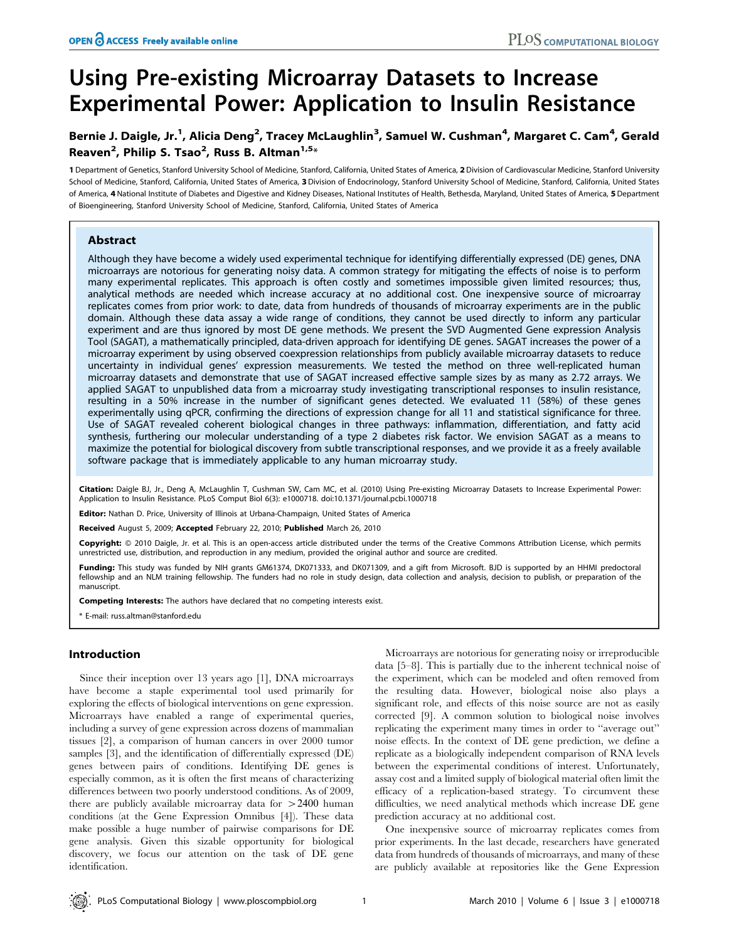# Using Pre-existing Microarray Datasets to Increase Experimental Power: Application to Insulin Resistance

# Bernie J. Daigle, Jr.<sup>1</sup>, Alicia Deng<sup>2</sup>, Tracey McLaughlin<sup>3</sup>, Samuel W. Cushman<sup>4</sup>, Margaret C. Cam<sup>4</sup>, Gerald Reaven<sup>2</sup>, Philip S. Tsao<sup>2</sup>, Russ B. Altman<sup>1,5</sup>\*

1 Department of Genetics, Stanford University School of Medicine, Stanford, California, United States of America, 2Division of Cardiovascular Medicine, Stanford University School of Medicine, Stanford, California, United States of America, 3 Division of Endocrinology, Stanford University School of Medicine, Stanford, California, United States of America, 4 National Institute of Diabetes and Digestive and Kidney Diseases, National Institutes of Health, Bethesda, Maryland, United States of America, 5Department of Bioengineering, Stanford University School of Medicine, Stanford, California, United States of America

# Abstract

Although they have become a widely used experimental technique for identifying differentially expressed (DE) genes, DNA microarrays are notorious for generating noisy data. A common strategy for mitigating the effects of noise is to perform many experimental replicates. This approach is often costly and sometimes impossible given limited resources; thus, analytical methods are needed which increase accuracy at no additional cost. One inexpensive source of microarray replicates comes from prior work: to date, data from hundreds of thousands of microarray experiments are in the public domain. Although these data assay a wide range of conditions, they cannot be used directly to inform any particular experiment and are thus ignored by most DE gene methods. We present the SVD Augmented Gene expression Analysis Tool (SAGAT), a mathematically principled, data-driven approach for identifying DE genes. SAGAT increases the power of a microarray experiment by using observed coexpression relationships from publicly available microarray datasets to reduce uncertainty in individual genes' expression measurements. We tested the method on three well-replicated human microarray datasets and demonstrate that use of SAGAT increased effective sample sizes by as many as 2.72 arrays. We applied SAGAT to unpublished data from a microarray study investigating transcriptional responses to insulin resistance, resulting in a 50% increase in the number of significant genes detected. We evaluated 11 (58%) of these genes experimentally using qPCR, confirming the directions of expression change for all 11 and statistical significance for three. Use of SAGAT revealed coherent biological changes in three pathways: inflammation, differentiation, and fatty acid synthesis, furthering our molecular understanding of a type 2 diabetes risk factor. We envision SAGAT as a means to maximize the potential for biological discovery from subtle transcriptional responses, and we provide it as a freely available software package that is immediately applicable to any human microarray study.

Citation: Daigle BJ, Jr., Deng A, McLaughlin T, Cushman SW, Cam MC, et al. (2010) Using Pre-existing Microarray Datasets to Increase Experimental Power: Application to Insulin Resistance. PLoS Comput Biol 6(3): e1000718. doi:10.1371/journal.pcbi.1000718

Editor: Nathan D. Price, University of Illinois at Urbana-Champaign, United States of America

Received August 5, 2009; Accepted February 22, 2010; Published March 26, 2010

Copyright: © 2010 Daigle, Jr. et al. This is an open-access article distributed under the terms of the Creative Commons Attribution License, which permits unrestricted use, distribution, and reproduction in any medium, provided the original author and source are credited.

Funding: This study was funded by NIH grants GM61374, DK071333, and DK071309, and a gift from Microsoft. BJD is supported by an HHMI predoctoral fellowship and an NLM training fellowship. The funders had no role in study design, data collection and analysis, decision to publish, or preparation of the manuscript.

Competing Interests: The authors have declared that no competing interests exist.

\* E-mail: russ.altman@stanford.edu

# Introduction

Since their inception over 13 years ago [1], DNA microarrays have become a staple experimental tool used primarily for exploring the effects of biological interventions on gene expression. Microarrays have enabled a range of experimental queries, including a survey of gene expression across dozens of mammalian tissues [2], a comparison of human cancers in over 2000 tumor samples [3], and the identification of differentially expressed (DE) genes between pairs of conditions. Identifying DE genes is especially common, as it is often the first means of characterizing differences between two poorly understood conditions. As of 2009, there are publicly available microarray data for  $>2400$  human conditions (at the Gene Expression Omnibus [4]). These data make possible a huge number of pairwise comparisons for DE gene analysis. Given this sizable opportunity for biological discovery, we focus our attention on the task of DE gene identification.

Microarrays are notorious for generating noisy or irreproducible data [5–8]. This is partially due to the inherent technical noise of the experiment, which can be modeled and often removed from the resulting data. However, biological noise also plays a significant role, and effects of this noise source are not as easily corrected [9]. A common solution to biological noise involves replicating the experiment many times in order to ''average out'' noise effects. In the context of DE gene prediction, we define a replicate as a biologically independent comparison of RNA levels between the experimental conditions of interest. Unfortunately, assay cost and a limited supply of biological material often limit the efficacy of a replication-based strategy. To circumvent these difficulties, we need analytical methods which increase DE gene prediction accuracy at no additional cost.

One inexpensive source of microarray replicates comes from prior experiments. In the last decade, researchers have generated data from hundreds of thousands of microarrays, and many of these are publicly available at repositories like the Gene Expression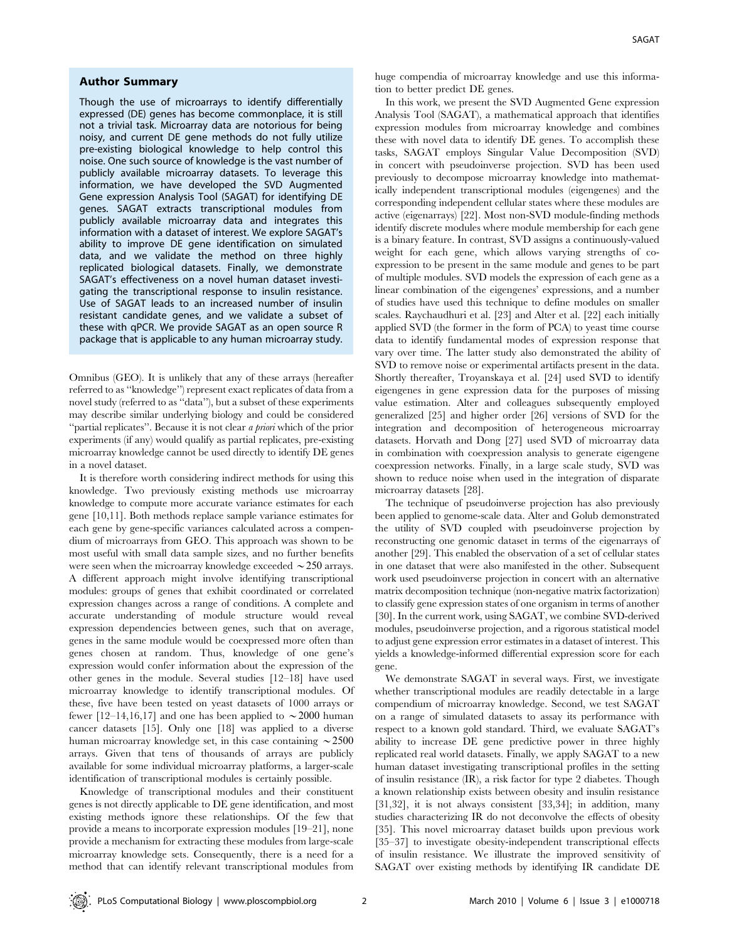#### Author Summary

Though the use of microarrays to identify differentially expressed (DE) genes has become commonplace, it is still not a trivial task. Microarray data are notorious for being noisy, and current DE gene methods do not fully utilize pre-existing biological knowledge to help control this noise. One such source of knowledge is the vast number of publicly available microarray datasets. To leverage this information, we have developed the SVD Augmented Gene expression Analysis Tool (SAGAT) for identifying DE genes. SAGAT extracts transcriptional modules from publicly available microarray data and integrates this information with a dataset of interest. We explore SAGAT's ability to improve DE gene identification on simulated data, and we validate the method on three highly replicated biological datasets. Finally, we demonstrate SAGAT's effectiveness on a novel human dataset investigating the transcriptional response to insulin resistance. Use of SAGAT leads to an increased number of insulin resistant candidate genes, and we validate a subset of these with qPCR. We provide SAGAT as an open source R package that is applicable to any human microarray study.

Omnibus (GEO). It is unlikely that any of these arrays (hereafter referred to as ''knowledge'') represent exact replicates of data from a novel study (referred to as ''data''), but a subset of these experiments may describe similar underlying biology and could be considered ''partial replicates''. Because it is not clear a priori which of the prior experiments (if any) would qualify as partial replicates, pre-existing microarray knowledge cannot be used directly to identify DE genes in a novel dataset.

It is therefore worth considering indirect methods for using this knowledge. Two previously existing methods use microarray knowledge to compute more accurate variance estimates for each gene [10,11]. Both methods replace sample variance estimates for each gene by gene-specific variances calculated across a compendium of microarrays from GEO. This approach was shown to be most useful with small data sample sizes, and no further benefits were seen when the microarray knowledge exceeded  $\sim$  250 arrays. A different approach might involve identifying transcriptional modules: groups of genes that exhibit coordinated or correlated expression changes across a range of conditions. A complete and accurate understanding of module structure would reveal expression dependencies between genes, such that on average, genes in the same module would be coexpressed more often than genes chosen at random. Thus, knowledge of one gene's expression would confer information about the expression of the other genes in the module. Several studies [12–18] have used microarray knowledge to identify transcriptional modules. Of these, five have been tested on yeast datasets of 1000 arrays or fewer [12–14,16,17] and one has been applied to  $\sim$  2000 human cancer datasets [15]. Only one [18] was applied to a diverse human microarray knowledge set, in this case containing  $\sim$  2500 arrays. Given that tens of thousands of arrays are publicly available for some individual microarray platforms, a larger-scale identification of transcriptional modules is certainly possible.

Knowledge of transcriptional modules and their constituent genes is not directly applicable to DE gene identification, and most existing methods ignore these relationships. Of the few that provide a means to incorporate expression modules [19–21], none provide a mechanism for extracting these modules from large-scale microarray knowledge sets. Consequently, there is a need for a method that can identify relevant transcriptional modules from huge compendia of microarray knowledge and use this information to better predict DE genes.

In this work, we present the SVD Augmented Gene expression Analysis Tool (SAGAT), a mathematical approach that identifies expression modules from microarray knowledge and combines these with novel data to identify DE genes. To accomplish these tasks, SAGAT employs Singular Value Decomposition (SVD) in concert with pseudoinverse projection. SVD has been used previously to decompose microarray knowledge into mathematically independent transcriptional modules (eigengenes) and the corresponding independent cellular states where these modules are active (eigenarrays) [22]. Most non-SVD module-finding methods identify discrete modules where module membership for each gene is a binary feature. In contrast, SVD assigns a continuously-valued weight for each gene, which allows varying strengths of coexpression to be present in the same module and genes to be part of multiple modules. SVD models the expression of each gene as a linear combination of the eigengenes' expressions, and a number of studies have used this technique to define modules on smaller scales. Raychaudhuri et al. [23] and Alter et al. [22] each initially applied SVD (the former in the form of PCA) to yeast time course data to identify fundamental modes of expression response that vary over time. The latter study also demonstrated the ability of SVD to remove noise or experimental artifacts present in the data. Shortly thereafter, Troyanskaya et al. [24] used SVD to identify eigengenes in gene expression data for the purposes of missing value estimation. Alter and colleagues subsequently employed generalized [25] and higher order [26] versions of SVD for the integration and decomposition of heterogeneous microarray datasets. Horvath and Dong [27] used SVD of microarray data in combination with coexpression analysis to generate eigengene coexpression networks. Finally, in a large scale study, SVD was shown to reduce noise when used in the integration of disparate microarray datasets [28].

The technique of pseudoinverse projection has also previously been applied to genome-scale data. Alter and Golub demonstrated the utility of SVD coupled with pseudoinverse projection by reconstructing one genomic dataset in terms of the eigenarrays of another [29]. This enabled the observation of a set of cellular states in one dataset that were also manifested in the other. Subsequent work used pseudoinverse projection in concert with an alternative matrix decomposition technique (non-negative matrix factorization) to classify gene expression states of one organism in terms of another [30]. In the current work, using SAGAT, we combine SVD-derived modules, pseudoinverse projection, and a rigorous statistical model to adjust gene expression error estimates in a dataset of interest. This yields a knowledge-informed differential expression score for each gene.

We demonstrate SAGAT in several ways. First, we investigate whether transcriptional modules are readily detectable in a large compendium of microarray knowledge. Second, we test SAGAT on a range of simulated datasets to assay its performance with respect to a known gold standard. Third, we evaluate SAGAT's ability to increase DE gene predictive power in three highly replicated real world datasets. Finally, we apply SAGAT to a new human dataset investigating transcriptional profiles in the setting of insulin resistance (IR), a risk factor for type 2 diabetes. Though a known relationship exists between obesity and insulin resistance [31,32], it is not always consistent [33,34]; in addition, many studies characterizing IR do not deconvolve the effects of obesity [35]. This novel microarray dataset builds upon previous work [35–37] to investigate obesity-independent transcriptional effects of insulin resistance. We illustrate the improved sensitivity of SAGAT over existing methods by identifying IR candidate DE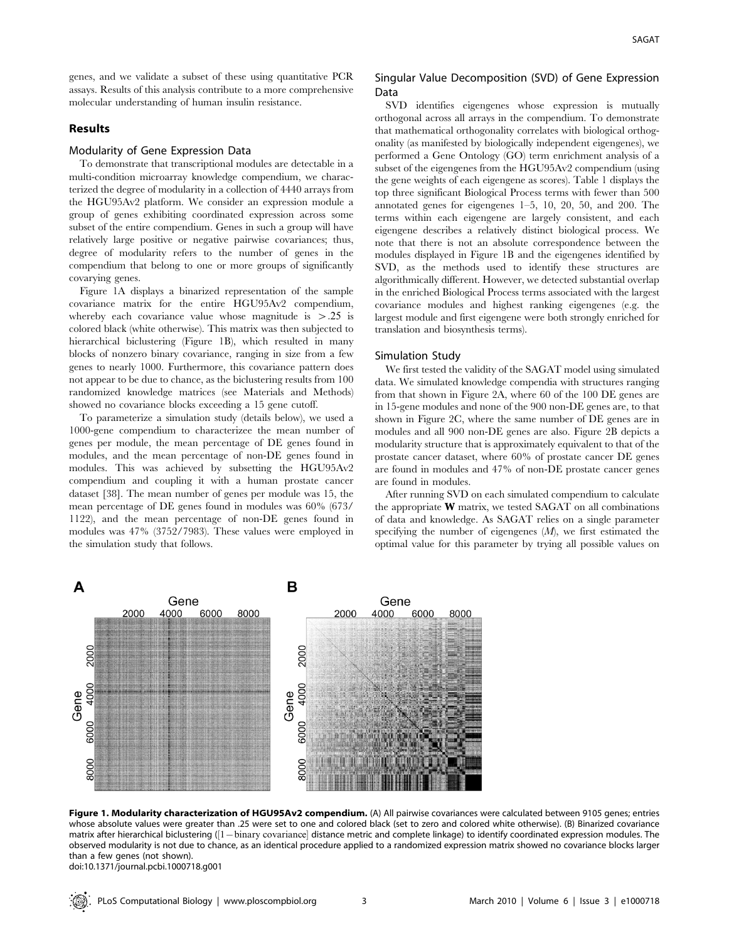genes, and we validate a subset of these using quantitative PCR assays. Results of this analysis contribute to a more comprehensive molecular understanding of human insulin resistance.

# Results

# Modularity of Gene Expression Data

To demonstrate that transcriptional modules are detectable in a multi-condition microarray knowledge compendium, we characterized the degree of modularity in a collection of 4440 arrays from the HGU95Av2 platform. We consider an expression module a group of genes exhibiting coordinated expression across some subset of the entire compendium. Genes in such a group will have relatively large positive or negative pairwise covariances; thus, degree of modularity refers to the number of genes in the compendium that belong to one or more groups of significantly covarying genes.

Figure 1A displays a binarized representation of the sample covariance matrix for the entire HGU95Av2 compendium, whereby each covariance value whose magnitude is  $> 0.25$  is colored black (white otherwise). This matrix was then subjected to hierarchical biclustering (Figure 1B), which resulted in many blocks of nonzero binary covariance, ranging in size from a few genes to nearly 1000. Furthermore, this covariance pattern does not appear to be due to chance, as the biclustering results from 100 randomized knowledge matrices (see Materials and Methods) showed no covariance blocks exceeding a 15 gene cutoff.

To parameterize a simulation study (details below), we used a 1000-gene compendium to characterizee the mean number of genes per module, the mean percentage of DE genes found in modules, and the mean percentage of non-DE genes found in modules. This was achieved by subsetting the HGU95Av2 compendium and coupling it with a human prostate cancer dataset [38]. The mean number of genes per module was 15, the mean percentage of DE genes found in modules was 60% (673/ 1122), and the mean percentage of non-DE genes found in modules was 47% (3752/7983). These values were employed in the simulation study that follows.

# Singular Value Decomposition (SVD) of Gene Expression Data

SVD identifies eigengenes whose expression is mutually orthogonal across all arrays in the compendium. To demonstrate that mathematical orthogonality correlates with biological orthogonality (as manifested by biologically independent eigengenes), we performed a Gene Ontology (GO) term enrichment analysis of a subset of the eigengenes from the HGU95Av2 compendium (using the gene weights of each eigengene as scores). Table 1 displays the top three significant Biological Process terms with fewer than 500 annotated genes for eigengenes 1–5, 10, 20, 50, and 200. The terms within each eigengene are largely consistent, and each eigengene describes a relatively distinct biological process. We note that there is not an absolute correspondence between the modules displayed in Figure 1B and the eigengenes identified by SVD, as the methods used to identify these structures are algorithmically different. However, we detected substantial overlap in the enriched Biological Process terms associated with the largest covariance modules and highest ranking eigengenes (e.g. the largest module and first eigengene were both strongly enriched for translation and biosynthesis terms).

#### Simulation Study

We first tested the validity of the SAGAT model using simulated data. We simulated knowledge compendia with structures ranging from that shown in Figure 2A, where 60 of the 100 DE genes are in 15-gene modules and none of the 900 non-DE genes are, to that shown in Figure 2C, where the same number of DE genes are in modules and all 900 non-DE genes are also. Figure 2B depicts a modularity structure that is approximately equivalent to that of the prostate cancer dataset, where 60% of prostate cancer DE genes are found in modules and 47% of non-DE prostate cancer genes are found in modules.

After running SVD on each simulated compendium to calculate the appropriate  $W$  matrix, we tested SAGAT on all combinations of data and knowledge. As SAGAT relies on a single parameter specifying the number of eigengenes  $(M)$ , we first estimated the optimal value for this parameter by trying all possible values on



Figure 1. Modularity characterization of HGU95Av2 compendium. (A) All pairwise covariances were calculated between 9105 genes; entries whose absolute values were greater than .25 were set to one and colored black (set to zero and colored white otherwise). (B) Binarized covariance matrix after hierarchical biclustering ([1 - binary covariance] distance metric and complete linkage) to identify coordinated expression modules. The observed modularity is not due to chance, as an identical procedure applied to a randomized expression matrix showed no covariance blocks larger than a few genes (not shown). doi:10.1371/journal.pcbi.1000718.g001

PLoS Computational Biology | www.ploscompbiol.org 3 3 March 2010 | Volume 6 | Issue 3 | e1000718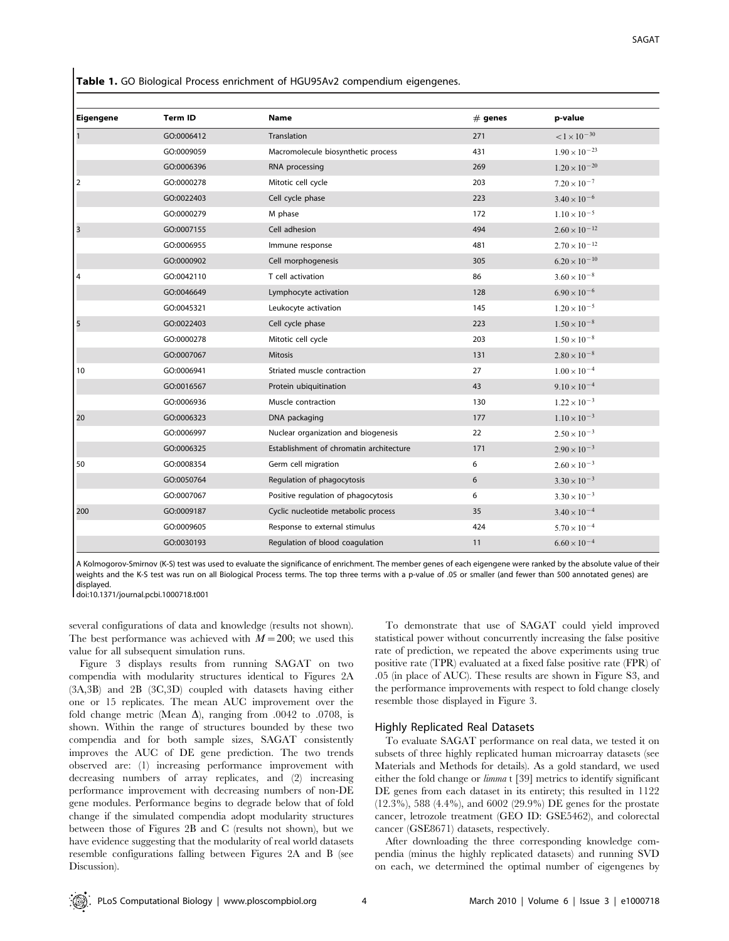Table 1. GO Biological Process enrichment of HGU95Av2 compendium eigengenes.

| <b>Eigengene</b> | <b>Term ID</b> | Name                                    | $#$ genes | p-value                |
|------------------|----------------|-----------------------------------------|-----------|------------------------|
| $\overline{1}$   | GO:0006412     | Translation                             | 271       | $< 1 \times 10^{-30}$  |
|                  | GO:0009059     | Macromolecule biosynthetic process      | 431       | $1.90 \times 10^{-23}$ |
|                  | GO:0006396     | RNA processing                          | 269       | $1.20 \times 10^{-20}$ |
| 2                | GO:0000278     | Mitotic cell cycle                      | 203       | $7.20 \times 10^{-7}$  |
|                  | GO:0022403     | Cell cycle phase                        | 223       | $3.40 \times 10^{-6}$  |
|                  | GO:0000279     | M phase                                 | 172       | $1.10 \times 10^{-5}$  |
| $\vert$ 3        | GO:0007155     | Cell adhesion                           | 494       | $2.60 \times 10^{-12}$ |
|                  | GO:0006955     | Immune response                         | 481       | $2.70 \times 10^{-12}$ |
|                  | GO:0000902     | Cell morphogenesis                      | 305       | $6.20 \times 10^{-10}$ |
| 4                | GO:0042110     | T cell activation                       | 86        | $3.60 \times 10^{-8}$  |
|                  | GO:0046649     | Lymphocyte activation                   | 128       | $6.90 \times 10^{-6}$  |
|                  | GO:0045321     | Leukocyte activation                    | 145       | $1.20 \times 10^{-5}$  |
|                  | GO:0022403     | Cell cycle phase                        | 223       |                        |
| 5                |                |                                         |           | $1.50 \times 10^{-8}$  |
|                  | GO:0000278     | Mitotic cell cycle                      | 203       | $1.50 \times 10^{-8}$  |
|                  | GO:0007067     | Mitosis                                 | 131       | $2.80 \times 10^{-8}$  |
| 10               | GO:0006941     | Striated muscle contraction             | 27        | $1.00 \times 10^{-4}$  |
|                  | GO:0016567     | Protein ubiquitination                  | 43        | $9.10 \times 10^{-4}$  |
|                  | GO:0006936     | Muscle contraction                      | 130       | $1.22 \times 10^{-3}$  |
| 20               | GO:0006323     | DNA packaging                           | 177       | $1.10 \times 10^{-3}$  |
|                  | GO:0006997     | Nuclear organization and biogenesis     | 22        | $2.50 \times 10^{-3}$  |
|                  | GO:0006325     | Establishment of chromatin architecture | 171       | $2.90 \times 10^{-3}$  |
| 50               | GO:0008354     | Germ cell migration                     | 6         | $2.60 \times 10^{-3}$  |
|                  | GO:0050764     | Regulation of phagocytosis              | 6         | $3.30 \times 10^{-3}$  |
|                  | GO:0007067     | Positive regulation of phagocytosis     | 6         | $3.30 \times 10^{-3}$  |
| 200              | GO:0009187     | Cyclic nucleotide metabolic process     | 35        | $3.40 \times 10^{-4}$  |
|                  | GO:0009605     | Response to external stimulus           | 424       | $5.70 \times 10^{-4}$  |
|                  | GO:0030193     | Regulation of blood coagulation         | 11        | $6.60 \times 10^{-4}$  |

A Kolmogorov-Smirnov (K-S) test was used to evaluate the significance of enrichment. The member genes of each eigengene were ranked by the absolute value of their weights and the K-S test was run on all Biological Process terms. The top three terms with a p-value of .05 or smaller (and fewer than 500 annotated genes) are displayed.

doi:10.1371/journal.pcbi.1000718.t001

several configurations of data and knowledge (results not shown). The best performance was achieved with  $M=200$ ; we used this value for all subsequent simulation runs.

Figure 3 displays results from running SAGAT on two compendia with modularity structures identical to Figures 2A (3A,3B) and 2B (3C,3D) coupled with datasets having either one or 15 replicates. The mean AUC improvement over the fold change metric (Mean  $\Delta$ ), ranging from .0042 to .0708, is shown. Within the range of structures bounded by these two compendia and for both sample sizes, SAGAT consistently improves the AUC of DE gene prediction. The two trends observed are: (1) increasing performance improvement with decreasing numbers of array replicates, and (2) increasing performance improvement with decreasing numbers of non-DE gene modules. Performance begins to degrade below that of fold change if the simulated compendia adopt modularity structures between those of Figures 2B and C (results not shown), but we have evidence suggesting that the modularity of real world datasets resemble configurations falling between Figures 2A and B (see Discussion).

To demonstrate that use of SAGAT could yield improved statistical power without concurrently increasing the false positive rate of prediction, we repeated the above experiments using true positive rate (TPR) evaluated at a fixed false positive rate (FPR) of .05 (in place of AUC). These results are shown in Figure S3, and the performance improvements with respect to fold change closely resemble those displayed in Figure 3.

#### Highly Replicated Real Datasets

To evaluate SAGAT performance on real data, we tested it on subsets of three highly replicated human microarray datasets (see Materials and Methods for details). As a gold standard, we used either the fold change or limma t [39] metrics to identify significant DE genes from each dataset in its entirety; this resulted in 1122 (12.3%), 588 (4.4%), and 6002 (29.9%) DE genes for the prostate cancer, letrozole treatment (GEO ID: GSE5462), and colorectal cancer (GSE8671) datasets, respectively.

After downloading the three corresponding knowledge compendia (minus the highly replicated datasets) and running SVD on each, we determined the optimal number of eigengenes by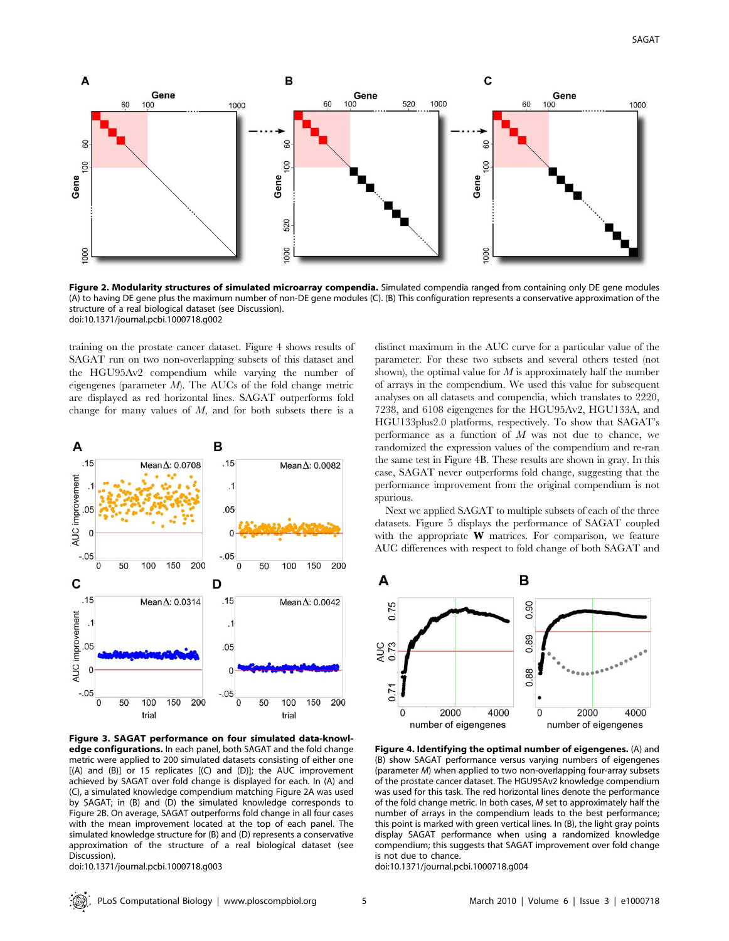

Figure 2. Modularity structures of simulated microarray compendia. Simulated compendia ranged from containing only DE gene modules (A) to having DE gene plus the maximum number of non-DE gene modules (C). (B) This configuration represents a conservative approximation of the structure of a real biological dataset (see Discussion). doi:10.1371/journal.pcbi.1000718.g002

training on the prostate cancer dataset. Figure 4 shows results of SAGAT run on two non-overlapping subsets of this dataset and the HGU95Av2 compendium while varying the number of eigengenes (parameter  $M$ ). The AUCs of the fold change metric are displayed as red horizontal lines. SAGAT outperforms fold change for many values of M, and for both subsets there is a



Figure 3. SAGAT performance on four simulated data-knowledge configurations. In each panel, both SAGAT and the fold change metric were applied to 200 simulated datasets consisting of either one [(A) and (B)] or 15 replicates [(C) and (D)]; the AUC improvement achieved by SAGAT over fold change is displayed for each. In (A) and (C), a simulated knowledge compendium matching Figure 2A was used by SAGAT; in (B) and (D) the simulated knowledge corresponds to Figure 2B. On average, SAGAT outperforms fold change in all four cases with the mean improvement located at the top of each panel. The simulated knowledge structure for (B) and (D) represents a conservative approximation of the structure of a real biological dataset (see Discussion).

doi:10.1371/journal.pcbi.1000718.g003

distinct maximum in the AUC curve for a particular value of the parameter. For these two subsets and several others tested (not shown), the optimal value for  $M$  is approximately half the number of arrays in the compendium. We used this value for subsequent analyses on all datasets and compendia, which translates to 2220, 7238, and 6108 eigengenes for the HGU95Av2, HGU133A, and HGU133plus2.0 platforms, respectively. To show that SAGAT's performance as a function of  $M$  was not due to chance, we randomized the expression values of the compendium and re-ran the same test in Figure 4B. These results are shown in gray. In this case, SAGAT never outperforms fold change, suggesting that the performance improvement from the original compendium is not spurious.

Next we applied SAGAT to multiple subsets of each of the three datasets. Figure 5 displays the performance of SAGAT coupled with the appropriate  $W$  matrices. For comparison, we feature AUC differences with respect to fold change of both SAGAT and



Figure 4. Identifying the optimal number of eigengenes. (A) and (B) show SAGAT performance versus varying numbers of eigengenes (parameter M) when applied to two non-overlapping four-array subsets of the prostate cancer dataset. The HGU95Av2 knowledge compendium was used for this task. The red horizontal lines denote the performance of the fold change metric. In both cases, M set to approximately half the number of arrays in the compendium leads to the best performance; this point is marked with green vertical lines. In (B), the light gray points display SAGAT performance when using a randomized knowledge compendium; this suggests that SAGAT improvement over fold change is not due to chance.

doi:10.1371/journal.pcbi.1000718.g004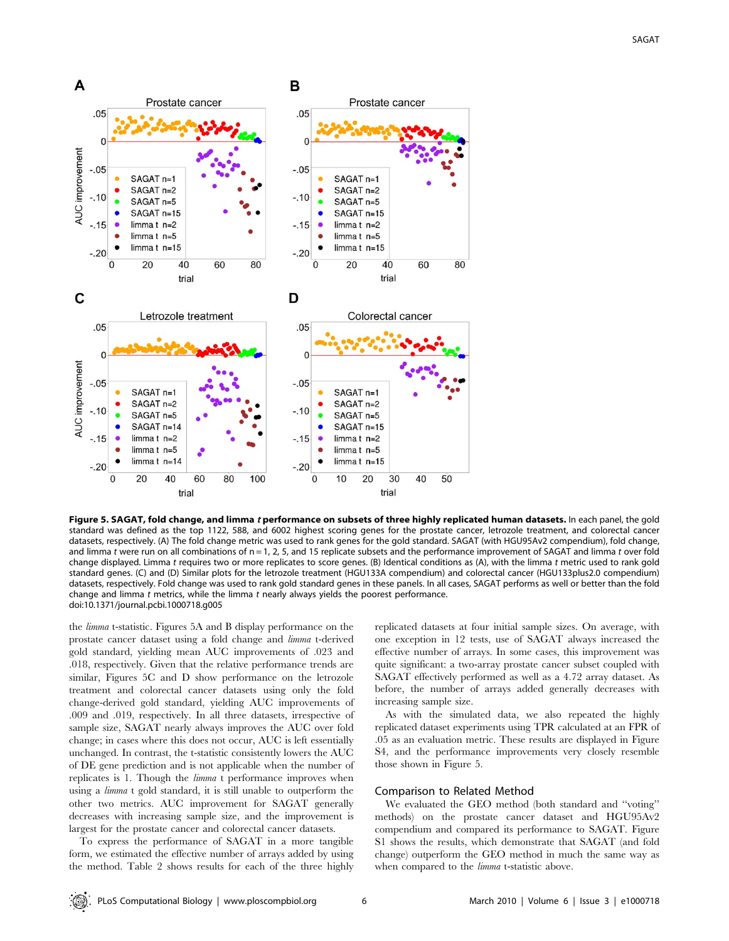

Figure 5. SAGAT, fold change, and limma t performance on subsets of three highly replicated human datasets. In each panel, the gold standard was defined as the top 1122, 588, and 6002 highest scoring genes for the prostate cancer, letrozole treatment, and colorectal cancer datasets, respectively. (A) The fold change metric was used to rank genes for the gold standard. SAGAT (with HGU95Av2 compendium), fold change, and limma t were run on all combinations of  $n = 1$ , 2, 5, and 15 replicate subsets and the performance improvement of SAGAT and limma t over fold change displayed. Limma t requires two or more replicates to score genes. (B) Identical conditions as (A), with the limma t metric used to rank gold standard genes. (C) and (D) Similar plots for the letrozole treatment (HGU133A compendium) and colorectal cancer (HGU133plus2.0 compendium) datasets, respectively. Fold change was used to rank gold standard genes in these panels. In all cases, SAGAT performs as well or better than the fold change and limma  $t$  metrics, while the limma  $t$  nearly always yields the poorest performance. doi:10.1371/journal.pcbi.1000718.g005

the limma t-statistic. Figures 5A and B display performance on the prostate cancer dataset using a fold change and limma t-derived gold standard, yielding mean AUC improvements of .023 and .018, respectively. Given that the relative performance trends are similar, Figures 5C and D show performance on the letrozole treatment and colorectal cancer datasets using only the fold change-derived gold standard, yielding AUC improvements of .009 and .019, respectively. In all three datasets, irrespective of sample size, SAGAT nearly always improves the AUC over fold change; in cases where this does not occur, AUC is left essentially unchanged. In contrast, the t-statistic consistently lowers the AUC of DE gene prediction and is not applicable when the number of replicates is 1. Though the limma t performance improves when using a limma t gold standard, it is still unable to outperform the other two metrics. AUC improvement for SAGAT generally decreases with increasing sample size, and the improvement is largest for the prostate cancer and colorectal cancer datasets.

To express the performance of SAGAT in a more tangible form, we estimated the effective number of arrays added by using the method. Table 2 shows results for each of the three highly

replicated datasets at four initial sample sizes. On average, with one exception in 12 tests, use of SAGAT always increased the effective number of arrays. In some cases, this improvement was quite significant: a two-array prostate cancer subset coupled with SAGAT effectively performed as well as a 4.72 array dataset. As before, the number of arrays added generally decreases with increasing sample size.

As with the simulated data, we also repeated the highly replicated dataset experiments using TPR calculated at an FPR of .05 as an evaluation metric. These results are displayed in Figure S4, and the performance improvements very closely resemble those shown in Figure 5.

# Comparison to Related Method

We evaluated the GEO method (both standard and ''voting'' methods) on the prostate cancer dataset and HGU95Av2 compendium and compared its performance to SAGAT. Figure S1 shows the results, which demonstrate that SAGAT (and fold change) outperform the GEO method in much the same way as when compared to the *limma* t-statistic above.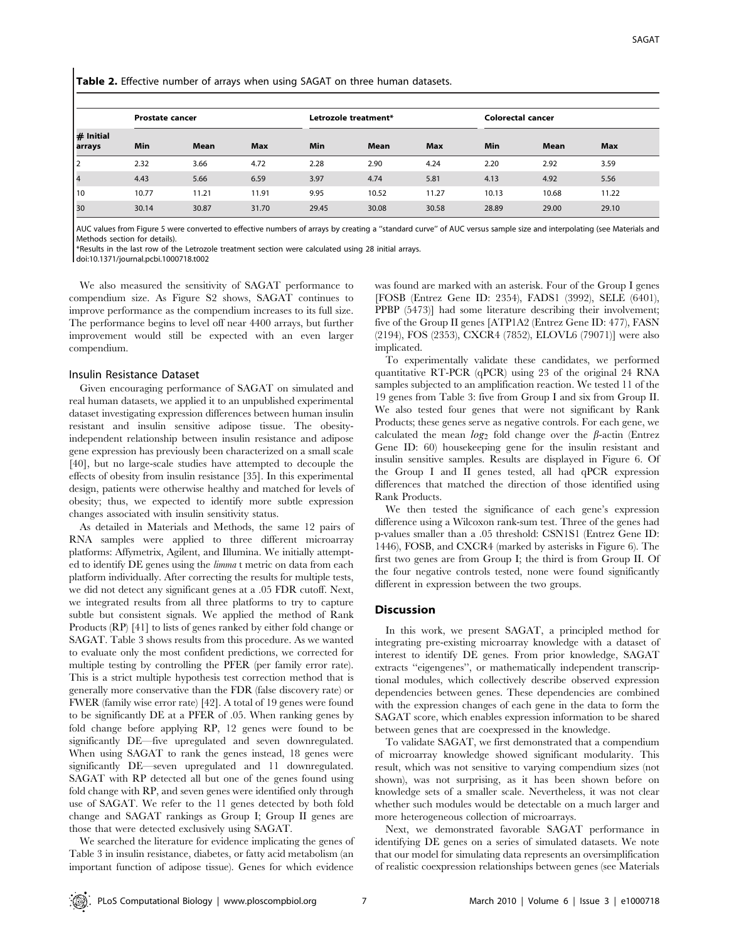Table 2. Effective number of arrays when using SAGAT on three human datasets.

|                       | <b>Prostate cancer</b> |       |            |       | Letrozole treatment* |            |       | Colorectal cancer |            |  |
|-----------------------|------------------------|-------|------------|-------|----------------------|------------|-------|-------------------|------------|--|
| $#$ Initial<br>arrays | Min                    | Mean  | <b>Max</b> | Min   | Mean                 | <b>Max</b> | Min   | Mean              | <b>Max</b> |  |
| 12                    | 2.32                   | 3.66  | 4.72       | 2.28  | 2.90                 | 4.24       | 2.20  | 2.92              | 3.59       |  |
| 14                    | 4.43                   | 5.66  | 6.59       | 3.97  | 4.74                 | 5.81       | 4.13  | 4.92              | 5.56       |  |
| l 10                  | 10.77                  | 11.21 | 11.91      | 9.95  | 10.52                | 11.27      | 10.13 | 10.68             | 11.22      |  |
| 30                    | 30.14                  | 30.87 | 31.70      | 29.45 | 30.08                | 30.58      | 28.89 | 29.00             | 29.10      |  |

AUC values from Figure 5 were converted to effective numbers of arrays by creating a ''standard curve'' of AUC versus sample size and interpolating (see Materials and Methods section for details).

\*Results in the last row of the Letrozole treatment section were calculated using 28 initial arrays.

doi:10.1371/journal.pcbi.1000718.t002

We also measured the sensitivity of SAGAT performance to compendium size. As Figure S2 shows, SAGAT continues to improve performance as the compendium increases to its full size. The performance begins to level off near 4400 arrays, but further improvement would still be expected with an even larger compendium.

#### Insulin Resistance Dataset

Given encouraging performance of SAGAT on simulated and real human datasets, we applied it to an unpublished experimental dataset investigating expression differences between human insulin resistant and insulin sensitive adipose tissue. The obesityindependent relationship between insulin resistance and adipose gene expression has previously been characterized on a small scale [40], but no large-scale studies have attempted to decouple the effects of obesity from insulin resistance [35]. In this experimental design, patients were otherwise healthy and matched for levels of obesity; thus, we expected to identify more subtle expression changes associated with insulin sensitivity status.

As detailed in Materials and Methods, the same 12 pairs of RNA samples were applied to three different microarray platforms: Affymetrix, Agilent, and Illumina. We initially attempted to identify DE genes using the limma t metric on data from each platform individually. After correcting the results for multiple tests, we did not detect any significant genes at a .05 FDR cutoff. Next, we integrated results from all three platforms to try to capture subtle but consistent signals. We applied the method of Rank Products (RP) [41] to lists of genes ranked by either fold change or SAGAT. Table 3 shows results from this procedure. As we wanted to evaluate only the most confident predictions, we corrected for multiple testing by controlling the PFER (per family error rate). This is a strict multiple hypothesis test correction method that is generally more conservative than the FDR (false discovery rate) or FWER (family wise error rate) [42]. A total of 19 genes were found to be significantly DE at a PFER of .05. When ranking genes by fold change before applying RP, 12 genes were found to be significantly DE—five upregulated and seven downregulated. When using SAGAT to rank the genes instead, 18 genes were significantly DE—seven upregulated and 11 downregulated. SAGAT with RP detected all but one of the genes found using fold change with RP, and seven genes were identified only through use of SAGAT. We refer to the 11 genes detected by both fold change and SAGAT rankings as Group I; Group II genes are those that were detected exclusively using SAGAT.

We searched the literature for evidence implicating the genes of Table 3 in insulin resistance, diabetes, or fatty acid metabolism (an important function of adipose tissue). Genes for which evidence

was found are marked with an asterisk. Four of the Group I genes [FOSB (Entrez Gene ID: 2354), FADS1 (3992), SELE (6401), PPBP (5473)] had some literature describing their involvement; five of the Group II genes [ATP1A2 (Entrez Gene ID: 477), FASN (2194), FOS (2353), CXCR4 (7852), ELOVL6 (79071)] were also implicated.

To experimentally validate these candidates, we performed quantitative RT-PCR (qPCR) using 23 of the original 24 RNA samples subjected to an amplification reaction. We tested 11 of the 19 genes from Table 3: five from Group I and six from Group II. We also tested four genes that were not significant by Rank Products; these genes serve as negative controls. For each gene, we calculated the mean  $log_2$  fold change over the  $\beta$ -actin (Entrez Gene ID: 60) housekeeping gene for the insulin resistant and insulin sensitive samples. Results are displayed in Figure 6. Of the Group I and II genes tested, all had qPCR expression differences that matched the direction of those identified using Rank Products.

We then tested the significance of each gene's expression difference using a Wilcoxon rank-sum test. Three of the genes had p-values smaller than a .05 threshold: CSN1S1 (Entrez Gene ID: 1446), FOSB, and CXCR4 (marked by asterisks in Figure 6). The first two genes are from Group I; the third is from Group II. Of the four negative controls tested, none were found significantly different in expression between the two groups.

## Discussion

In this work, we present SAGAT, a principled method for integrating pre-existing microarray knowledge with a dataset of interest to identify DE genes. From prior knowledge, SAGAT extracts ''eigengenes'', or mathematically independent transcriptional modules, which collectively describe observed expression dependencies between genes. These dependencies are combined with the expression changes of each gene in the data to form the SAGAT score, which enables expression information to be shared between genes that are coexpressed in the knowledge.

To validate SAGAT, we first demonstrated that a compendium of microarray knowledge showed significant modularity. This result, which was not sensitive to varying compendium sizes (not shown), was not surprising, as it has been shown before on knowledge sets of a smaller scale. Nevertheless, it was not clear whether such modules would be detectable on a much larger and more heterogeneous collection of microarrays.

Next, we demonstrated favorable SAGAT performance in identifying DE genes on a series of simulated datasets. We note that our model for simulating data represents an oversimplification of realistic coexpression relationships between genes (see Materials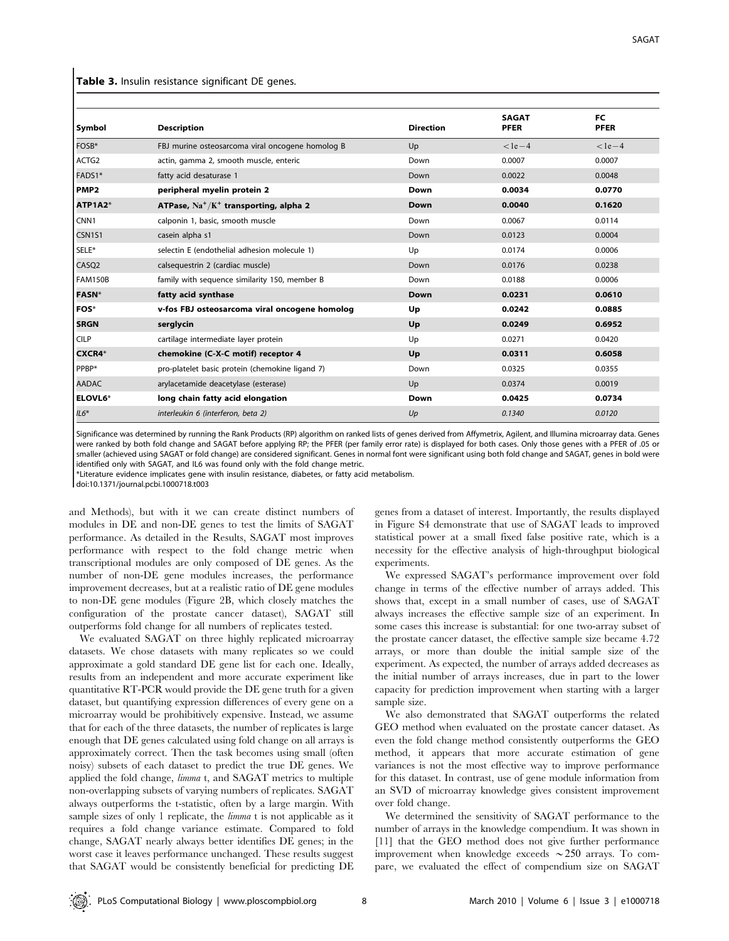#### Table 3. Insulin resistance significant DE genes.

| <b>Symbol</b>     | <b>Description</b>                               | <b>Direction</b> | <b>SAGAT</b><br><b>PFER</b> | <b>FC</b><br><b>PFER</b> |
|-------------------|--------------------------------------------------|------------------|-----------------------------|--------------------------|
| FOSB*             | FBJ murine osteosarcoma viral oncogene homolog B | Up               | $<$ 1e $-$ 4                | $<$ 1e $-4$              |
| ACTG <sub>2</sub> | actin, gamma 2, smooth muscle, enteric           | Down             | 0.0007                      | 0.0007                   |
| FADS1*            | fatty acid desaturase 1                          | Down             | 0.0022                      | 0.0048                   |
| <b>PMP2</b>       | peripheral myelin protein 2                      | Down             | 0.0034                      | 0.0770                   |
| ATP1A2*           | ATPase, $Na^+/K^+$ transporting, alpha 2         | Down             | 0.0040                      | 0.1620                   |
| CNN <sub>1</sub>  | calponin 1, basic, smooth muscle                 | Down             | 0.0067                      | 0.0114                   |
| CSN1S1            | casein alpha s1                                  | Down             | 0.0123                      | 0.0004                   |
| SELE*             | selectin E (endothelial adhesion molecule 1)     | Up               | 0.0174                      | 0.0006                   |
| CASQ <sub>2</sub> | calsequestrin 2 (cardiac muscle)                 | Down             | 0.0176                      | 0.0238                   |
| FAM150B           | family with sequence similarity 150, member B    | Down             | 0.0188                      | 0.0006                   |
| <b>FASN</b> *     | fatty acid synthase                              | Down             | 0.0231                      | 0.0610                   |
| FOS*              | v-fos FBJ osteosarcoma viral oncogene homolog    | Up               | 0.0242                      | 0.0885                   |
| <b>SRGN</b>       | serglycin                                        | Up               | 0.0249                      | 0.6952                   |
| <b>CILP</b>       | cartilage intermediate layer protein             | Up               | 0.0271                      | 0.0420                   |
| <b>CXCR4*</b>     | chemokine (C-X-C motif) receptor 4               | Up               | 0.0311                      | 0.6058                   |
| PPBP*             | pro-platelet basic protein (chemokine ligand 7)  | Down             | 0.0325                      | 0.0355                   |
| <b>AADAC</b>      | arylacetamide deacetylase (esterase)             | Up               | 0.0374                      | 0.0019                   |
| <b>ELOVL6*</b>    | long chain fatty acid elongation                 | Down             | 0.0425                      | 0.0734                   |
| $IL6*$            | interleukin 6 (interferon, beta 2)               | Up               | 0.1340                      | 0.0120                   |

Significance was determined by running the Rank Products (RP) algorithm on ranked lists of genes derived from Affymetrix, Agilent, and Illumina microarray data. Genes were ranked by both fold change and SAGAT before applying RP; the PFER (per family error rate) is displayed for both cases. Only those genes with a PFER of .05 or smaller (achieved using SAGAT or fold change) are considered significant. Genes in normal font were significant using both fold change and SAGAT, genes in bold were identified only with SAGAT, and IL6 was found only with the fold change metric.

\*Literature evidence implicates gene with insulin resistance, diabetes, or fatty acid metabolism.

doi:10.1371/journal.pcbi.1000718.t003

and Methods), but with it we can create distinct numbers of modules in DE and non-DE genes to test the limits of SAGAT performance. As detailed in the Results, SAGAT most improves performance with respect to the fold change metric when transcriptional modules are only composed of DE genes. As the number of non-DE gene modules increases, the performance improvement decreases, but at a realistic ratio of DE gene modules to non-DE gene modules (Figure 2B, which closely matches the configuration of the prostate cancer dataset), SAGAT still outperforms fold change for all numbers of replicates tested.

We evaluated SAGAT on three highly replicated microarray datasets. We chose datasets with many replicates so we could approximate a gold standard DE gene list for each one. Ideally, results from an independent and more accurate experiment like quantitative RT-PCR would provide the DE gene truth for a given dataset, but quantifying expression differences of every gene on a microarray would be prohibitively expensive. Instead, we assume that for each of the three datasets, the number of replicates is large enough that DE genes calculated using fold change on all arrays is approximately correct. Then the task becomes using small (often noisy) subsets of each dataset to predict the true DE genes. We applied the fold change, limma t, and SAGAT metrics to multiple non-overlapping subsets of varying numbers of replicates. SAGAT always outperforms the t-statistic, often by a large margin. With sample sizes of only 1 replicate, the *limma* t is not applicable as it requires a fold change variance estimate. Compared to fold change, SAGAT nearly always better identifies DE genes; in the worst case it leaves performance unchanged. These results suggest that SAGAT would be consistently beneficial for predicting DE

genes from a dataset of interest. Importantly, the results displayed in Figure S4 demonstrate that use of SAGAT leads to improved statistical power at a small fixed false positive rate, which is a necessity for the effective analysis of high-throughput biological experiments.

We expressed SAGAT's performance improvement over fold change in terms of the effective number of arrays added. This shows that, except in a small number of cases, use of SAGAT always increases the effective sample size of an experiment. In some cases this increase is substantial: for one two-array subset of the prostate cancer dataset, the effective sample size became 4.72 arrays, or more than double the initial sample size of the experiment. As expected, the number of arrays added decreases as the initial number of arrays increases, due in part to the lower capacity for prediction improvement when starting with a larger sample size.

We also demonstrated that SAGAT outperforms the related GEO method when evaluated on the prostate cancer dataset. As even the fold change method consistently outperforms the GEO method, it appears that more accurate estimation of gene variances is not the most effective way to improve performance for this dataset. In contrast, use of gene module information from an SVD of microarray knowledge gives consistent improvement over fold change.

We determined the sensitivity of SAGAT performance to the number of arrays in the knowledge compendium. It was shown in [11] that the GEO method does not give further performance improvement when knowledge exceeds  $\sim$  250 arrays. To compare, we evaluated the effect of compendium size on SAGAT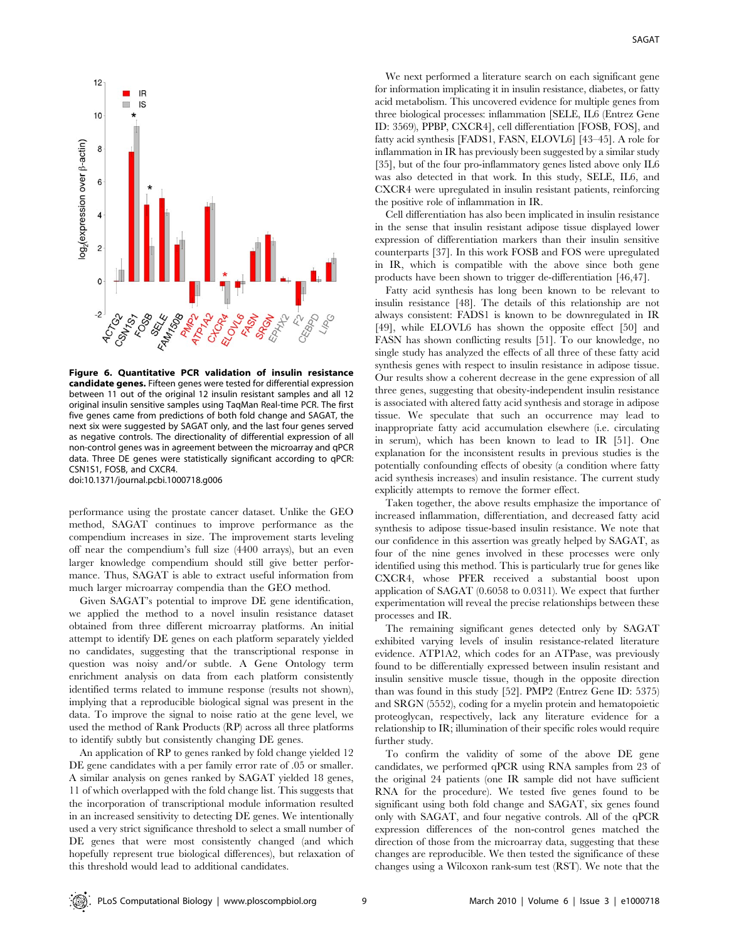

Figure 6. Quantitative PCR validation of insulin resistance candidate genes. Fifteen genes were tested for differential expression between 11 out of the original 12 insulin resistant samples and all 12 original insulin sensitive samples using TaqMan Real-time PCR. The first five genes came from predictions of both fold change and SAGAT, the next six were suggested by SAGAT only, and the last four genes served as negative controls. The directionality of differential expression of all non-control genes was in agreement between the microarray and qPCR data. Three DE genes were statistically significant according to qPCR: CSN1S1, FOSB, and CXCR4. doi:10.1371/journal.pcbi.1000718.g006

performance using the prostate cancer dataset. Unlike the GEO method, SAGAT continues to improve performance as the compendium increases in size. The improvement starts leveling off near the compendium's full size (4400 arrays), but an even larger knowledge compendium should still give better performance. Thus, SAGAT is able to extract useful information from much larger microarray compendia than the GEO method.

Given SAGAT's potential to improve DE gene identification, we applied the method to a novel insulin resistance dataset obtained from three different microarray platforms. An initial attempt to identify DE genes on each platform separately yielded no candidates, suggesting that the transcriptional response in question was noisy and/or subtle. A Gene Ontology term enrichment analysis on data from each platform consistently identified terms related to immune response (results not shown), implying that a reproducible biological signal was present in the data. To improve the signal to noise ratio at the gene level, we used the method of Rank Products (RP) across all three platforms to identify subtly but consistently changing DE genes.

An application of RP to genes ranked by fold change yielded 12 DE gene candidates with a per family error rate of .05 or smaller. A similar analysis on genes ranked by SAGAT yielded 18 genes, 11 of which overlapped with the fold change list. This suggests that the incorporation of transcriptional module information resulted in an increased sensitivity to detecting DE genes. We intentionally used a very strict significance threshold to select a small number of DE genes that were most consistently changed (and which hopefully represent true biological differences), but relaxation of this threshold would lead to additional candidates.

We next performed a literature search on each significant gene for information implicating it in insulin resistance, diabetes, or fatty acid metabolism. This uncovered evidence for multiple genes from three biological processes: inflammation [SELE, IL6 (Entrez Gene ID: 3569), PPBP, CXCR4], cell differentiation [FOSB, FOS], and fatty acid synthesis [FADS1, FASN, ELOVL6] [43–45]. A role for inflammation in IR has previously been suggested by a similar study [35], but of the four pro-inflammatory genes listed above only IL6 was also detected in that work. In this study, SELE, IL6, and CXCR4 were upregulated in insulin resistant patients, reinforcing the positive role of inflammation in IR.

Cell differentiation has also been implicated in insulin resistance in the sense that insulin resistant adipose tissue displayed lower expression of differentiation markers than their insulin sensitive counterparts [37]. In this work FOSB and FOS were upregulated in IR, which is compatible with the above since both gene products have been shown to trigger de-differentiation [46,47].

Fatty acid synthesis has long been known to be relevant to insulin resistance [48]. The details of this relationship are not always consistent: FADS1 is known to be downregulated in IR [49], while ELOVL6 has shown the opposite effect [50] and FASN has shown conflicting results [51]. To our knowledge, no single study has analyzed the effects of all three of these fatty acid synthesis genes with respect to insulin resistance in adipose tissue. Our results show a coherent decrease in the gene expression of all three genes, suggesting that obesity-independent insulin resistance is associated with altered fatty acid synthesis and storage in adipose tissue. We speculate that such an occurrence may lead to inappropriate fatty acid accumulation elsewhere (i.e. circulating in serum), which has been known to lead to IR [51]. One explanation for the inconsistent results in previous studies is the potentially confounding effects of obesity (a condition where fatty acid synthesis increases) and insulin resistance. The current study explicitly attempts to remove the former effect.

Taken together, the above results emphasize the importance of increased inflammation, differentiation, and decreased fatty acid synthesis to adipose tissue-based insulin resistance. We note that our confidence in this assertion was greatly helped by SAGAT, as four of the nine genes involved in these processes were only identified using this method. This is particularly true for genes like CXCR4, whose PFER received a substantial boost upon application of SAGAT (0.6058 to 0.0311). We expect that further experimentation will reveal the precise relationships between these processes and IR.

The remaining significant genes detected only by SAGAT exhibited varying levels of insulin resistance-related literature evidence. ATP1A2, which codes for an ATPase, was previously found to be differentially expressed between insulin resistant and insulin sensitive muscle tissue, though in the opposite direction than was found in this study [52]. PMP2 (Entrez Gene ID: 5375) and SRGN (5552), coding for a myelin protein and hematopoietic proteoglycan, respectively, lack any literature evidence for a relationship to IR; illumination of their specific roles would require further study.

To confirm the validity of some of the above DE gene candidates, we performed qPCR using RNA samples from 23 of the original 24 patients (one IR sample did not have sufficient RNA for the procedure). We tested five genes found to be significant using both fold change and SAGAT, six genes found only with SAGAT, and four negative controls. All of the qPCR expression differences of the non-control genes matched the direction of those from the microarray data, suggesting that these changes are reproducible. We then tested the significance of these changes using a Wilcoxon rank-sum test (RST). We note that the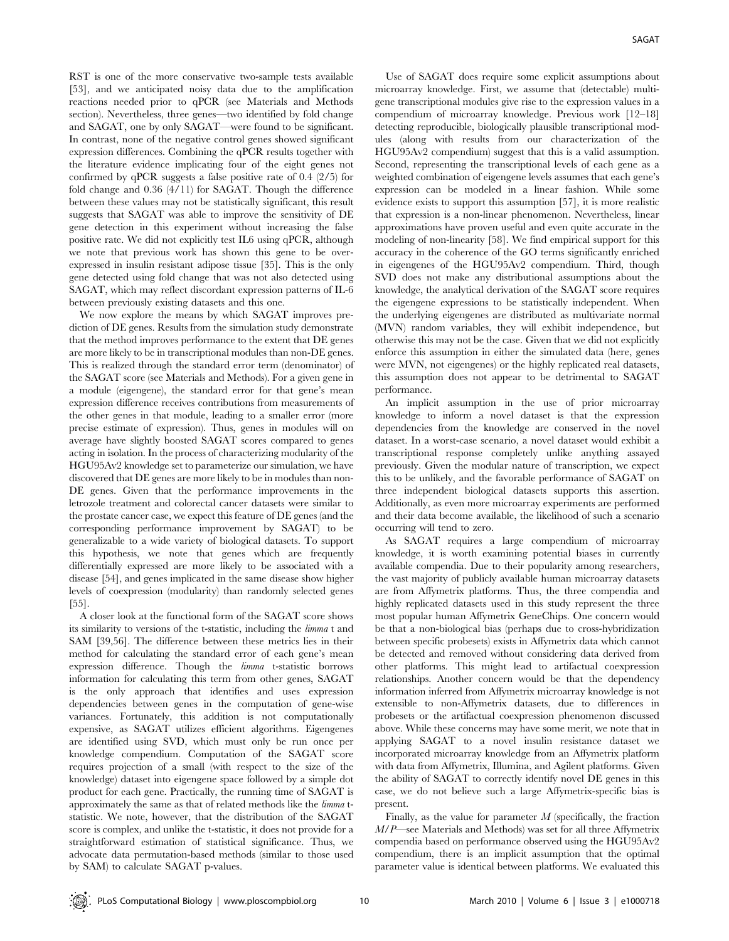RST is one of the more conservative two-sample tests available [53], and we anticipated noisy data due to the amplification reactions needed prior to qPCR (see Materials and Methods section). Nevertheless, three genes—two identified by fold change and SAGAT, one by only SAGAT—were found to be significant. In contrast, none of the negative control genes showed significant expression differences. Combining the qPCR results together with the literature evidence implicating four of the eight genes not confirmed by qPCR suggests a false positive rate of 0.4 (2/5) for fold change and 0.36 (4/11) for SAGAT. Though the difference between these values may not be statistically significant, this result suggests that SAGAT was able to improve the sensitivity of DE gene detection in this experiment without increasing the false positive rate. We did not explicitly test IL6 using qPCR, although we note that previous work has shown this gene to be overexpressed in insulin resistant adipose tissue [35]. This is the only gene detected using fold change that was not also detected using SAGAT, which may reflect discordant expression patterns of IL-6 between previously existing datasets and this one.

We now explore the means by which SAGAT improves prediction of DE genes. Results from the simulation study demonstrate that the method improves performance to the extent that DE genes are more likely to be in transcriptional modules than non-DE genes. This is realized through the standard error term (denominator) of the SAGAT score (see Materials and Methods). For a given gene in a module (eigengene), the standard error for that gene's mean expression difference receives contributions from measurements of the other genes in that module, leading to a smaller error (more precise estimate of expression). Thus, genes in modules will on average have slightly boosted SAGAT scores compared to genes acting in isolation. In the process of characterizing modularity of the HGU95Av2 knowledge set to parameterize our simulation, we have discovered that DE genes are more likely to be in modules than non-DE genes. Given that the performance improvements in the letrozole treatment and colorectal cancer datasets were similar to the prostate cancer case, we expect this feature of DE genes (and the corresponding performance improvement by SAGAT) to be generalizable to a wide variety of biological datasets. To support this hypothesis, we note that genes which are frequently differentially expressed are more likely to be associated with a disease [54], and genes implicated in the same disease show higher levels of coexpression (modularity) than randomly selected genes [55].

A closer look at the functional form of the SAGAT score shows its similarity to versions of the t-statistic, including the limma t and SAM [39,56]. The difference between these metrics lies in their method for calculating the standard error of each gene's mean expression difference. Though the limma t-statistic borrows information for calculating this term from other genes, SAGAT is the only approach that identifies and uses expression dependencies between genes in the computation of gene-wise variances. Fortunately, this addition is not computationally expensive, as SAGAT utilizes efficient algorithms. Eigengenes are identified using SVD, which must only be run once per knowledge compendium. Computation of the SAGAT score requires projection of a small (with respect to the size of the knowledge) dataset into eigengene space followed by a simple dot product for each gene. Practically, the running time of SAGAT is approximately the same as that of related methods like the limma tstatistic. We note, however, that the distribution of the SAGAT score is complex, and unlike the t-statistic, it does not provide for a straightforward estimation of statistical significance. Thus, we advocate data permutation-based methods (similar to those used by SAM) to calculate SAGAT p-values.

Use of SAGAT does require some explicit assumptions about microarray knowledge. First, we assume that (detectable) multigene transcriptional modules give rise to the expression values in a compendium of microarray knowledge. Previous work [12–18] detecting reproducible, biologically plausible transcriptional modules (along with results from our characterization of the HGU95Av2 compendium) suggest that this is a valid assumption. Second, representing the transcriptional levels of each gene as a weighted combination of eigengene levels assumes that each gene's expression can be modeled in a linear fashion. While some evidence exists to support this assumption [57], it is more realistic that expression is a non-linear phenomenon. Nevertheless, linear approximations have proven useful and even quite accurate in the modeling of non-linearity [58]. We find empirical support for this accuracy in the coherence of the GO terms significantly enriched in eigengenes of the HGU95Av2 compendium. Third, though SVD does not make any distributional assumptions about the knowledge, the analytical derivation of the SAGAT score requires the eigengene expressions to be statistically independent. When the underlying eigengenes are distributed as multivariate normal (MVN) random variables, they will exhibit independence, but otherwise this may not be the case. Given that we did not explicitly enforce this assumption in either the simulated data (here, genes were MVN, not eigengenes) or the highly replicated real datasets, this assumption does not appear to be detrimental to SAGAT performance.

An implicit assumption in the use of prior microarray knowledge to inform a novel dataset is that the expression dependencies from the knowledge are conserved in the novel dataset. In a worst-case scenario, a novel dataset would exhibit a transcriptional response completely unlike anything assayed previously. Given the modular nature of transcription, we expect this to be unlikely, and the favorable performance of SAGAT on three independent biological datasets supports this assertion. Additionally, as even more microarray experiments are performed and their data become available, the likelihood of such a scenario occurring will tend to zero.

As SAGAT requires a large compendium of microarray knowledge, it is worth examining potential biases in currently available compendia. Due to their popularity among researchers, the vast majority of publicly available human microarray datasets are from Affymetrix platforms. Thus, the three compendia and highly replicated datasets used in this study represent the three most popular human Affymetrix GeneChips. One concern would be that a non-biological bias (perhaps due to cross-hybridization between specific probesets) exists in Affymetrix data which cannot be detected and removed without considering data derived from other platforms. This might lead to artifactual coexpression relationships. Another concern would be that the dependency information inferred from Affymetrix microarray knowledge is not extensible to non-Affymetrix datasets, due to differences in probesets or the artifactual coexpression phenomenon discussed above. While these concerns may have some merit, we note that in applying SAGAT to a novel insulin resistance dataset we incorporated microarray knowledge from an Affymetrix platform with data from Affymetrix, Illumina, and Agilent platforms. Given the ability of SAGAT to correctly identify novel DE genes in this case, we do not believe such a large Affymetrix-specific bias is present.

Finally, as the value for parameter  $M$  (specifically, the fraction M/P—see Materials and Methods) was set for all three Affymetrix compendia based on performance observed using the HGU95Av2 compendium, there is an implicit assumption that the optimal parameter value is identical between platforms. We evaluated this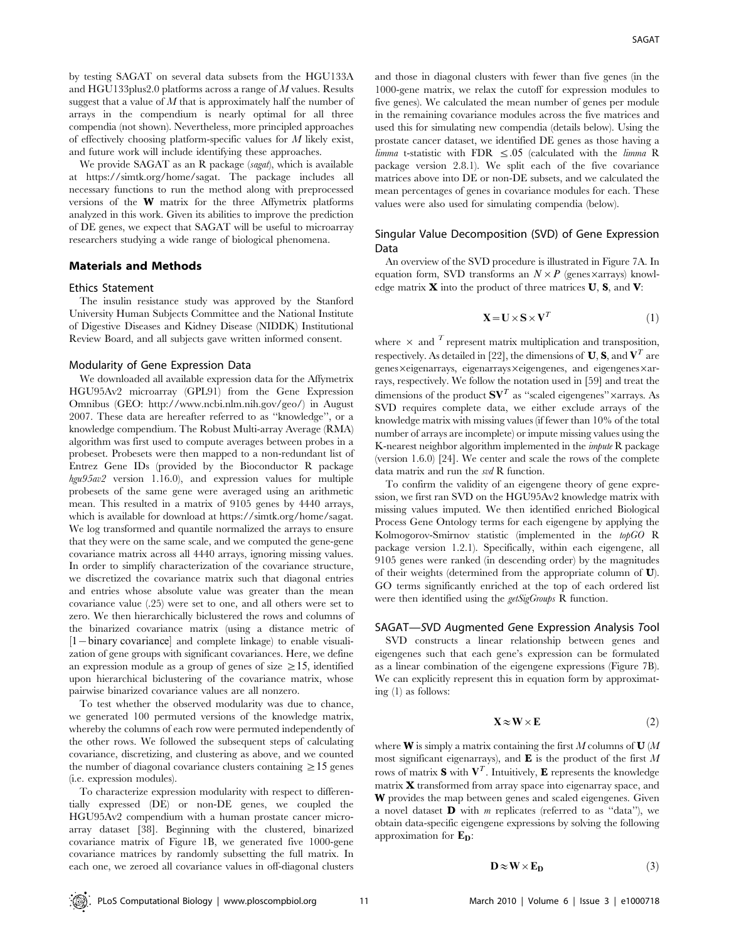by testing SAGAT on several data subsets from the HGU133A and HGU133plus2.0 platforms across a range of M values. Results suggest that a value of  $M$  that is approximately half the number of arrays in the compendium is nearly optimal for all three compendia (not shown). Nevertheless, more principled approaches of effectively choosing platform-specific values for  $M$  likely exist, and future work will include identifying these approaches.

We provide SAGAT as an R package (sagat), which is available at https://simtk.org/home/sagat. The package includes all necessary functions to run the method along with preprocessed versions of the W matrix for the three Affymetrix platforms analyzed in this work. Given its abilities to improve the prediction of DE genes, we expect that SAGAT will be useful to microarray researchers studying a wide range of biological phenomena.

# Materials and Methods

#### Ethics Statement

The insulin resistance study was approved by the Stanford University Human Subjects Committee and the National Institute of Digestive Diseases and Kidney Disease (NIDDK) Institutional Review Board, and all subjects gave written informed consent.

#### Modularity of Gene Expression Data

We downloaded all available expression data for the Affymetrix HGU95Av2 microarray (GPL91) from the Gene Expression Omnibus (GEO: http://www.ncbi.nlm.nih.gov/geo/) in August 2007. These data are hereafter referred to as ''knowledge'', or a knowledge compendium. The Robust Multi-array Average (RMA) algorithm was first used to compute averages between probes in a probeset. Probesets were then mapped to a non-redundant list of Entrez Gene IDs (provided by the Bioconductor R package hgu95av2 version 1.16.0), and expression values for multiple probesets of the same gene were averaged using an arithmetic mean. This resulted in a matrix of 9105 genes by 4440 arrays, which is available for download at https://simtk.org/home/sagat. We log transformed and quantile normalized the arrays to ensure that they were on the same scale, and we computed the gene-gene covariance matrix across all 4440 arrays, ignoring missing values. In order to simplify characterization of the covariance structure, we discretized the covariance matrix such that diagonal entries and entries whose absolute value was greater than the mean covariance value (.25) were set to one, and all others were set to zero. We then hierarchically biclustered the rows and columns of the binarized covariance matrix (using a distance metric of [1-binary covariance] and complete linkage) to enable visualization of gene groups with significant covariances. Here, we define an expression module as a group of genes of size  $\geq$ 15, identified upon hierarchical biclustering of the covariance matrix, whose pairwise binarized covariance values are all nonzero.

To test whether the observed modularity was due to chance, we generated 100 permuted versions of the knowledge matrix, whereby the columns of each row were permuted independently of the other rows. We followed the subsequent steps of calculating covariance, discretizing, and clustering as above, and we counted the number of diagonal covariance clusters containing  $\geq$  15 genes (i.e. expression modules).

To characterize expression modularity with respect to differentially expressed (DE) or non-DE genes, we coupled the HGU95Av2 compendium with a human prostate cancer microarray dataset [38]. Beginning with the clustered, binarized covariance matrix of Figure 1B, we generated five 1000-gene covariance matrices by randomly subsetting the full matrix. In each one, we zeroed all covariance values in off-diagonal clusters

and those in diagonal clusters with fewer than five genes (in the 1000-gene matrix, we relax the cutoff for expression modules to five genes). We calculated the mean number of genes per module in the remaining covariance modules across the five matrices and used this for simulating new compendia (details below). Using the prostate cancer dataset, we identified DE genes as those having a  $limma$  t-statistic with FDR  $\leq .05$  (calculated with the *limma* R package version 2.8.1). We split each of the five covariance matrices above into DE or non-DE subsets, and we calculated the mean percentages of genes in covariance modules for each. These values were also used for simulating compendia (below).

# Singular Value Decomposition (SVD) of Gene Expression Data

An overview of the SVD procedure is illustrated in Figure 7A. In equation form, SVD transforms an  $N \times P$  (genes  $\times$ arrays) knowledge matrix  $\bf{X}$  into the product of three matrices  $\bf{U}, \bf{S},$  and  $\bf{V}$ :

$$
\mathbf{X} = \mathbf{U} \times \mathbf{S} \times \mathbf{V}^T \tag{1}
$$

where  $\times$  and  $\tau$  represent matrix multiplication and transposition, respectively. As detailed in [22], the dimensions of **U**, **S**, and  $V<sup>T</sup>$  are genes×eigenarrays, eigenarrays×eigengenes, and eigengenes×arrays, respectively. We follow the notation used in [59] and treat the dimensions of the product  $\mathbf{S}\mathbf{V}^T$  as "scaled eigengenes" ×arrays. As SVD requires complete data, we either exclude arrays of the knowledge matrix with missing values (if fewer than 10% of the total number of arrays are incomplete) or impute missing values using the K-nearest neighbor algorithm implemented in the impute R package (version 1.6.0) [24]. We center and scale the rows of the complete data matrix and run the svd R function.

To confirm the validity of an eigengene theory of gene expression, we first ran SVD on the HGU95Av2 knowledge matrix with missing values imputed. We then identified enriched Biological Process Gene Ontology terms for each eigengene by applying the Kolmogorov-Smirnov statistic (implemented in the topGO R package version 1.2.1). Specifically, within each eigengene, all 9105 genes were ranked (in descending order) by the magnitudes of their weights (determined from the appropriate column of U). GO terms significantly enriched at the top of each ordered list were then identified using the *getSigGroups* R function.

SAGAT—SVD Augmented Gene Expression Analysis Tool SVD constructs a linear relationship between genes and eigengenes such that each gene's expression can be formulated as a linear combination of the eigengene expressions (Figure 7B). We can explicitly represent this in equation form by approximating (1) as follows:

$$
\mathbf{X} \approx \mathbf{W} \times \mathbf{E} \tag{2}
$$

where **W** is simply a matrix containing the first M columns of **U**  $(M)$ most significant eigenarrays), and  $\bf{E}$  is the product of the first M rows of matrix **S** with  $V<sup>T</sup>$ . Intuitively, **E** represents the knowledge matrix X transformed from array space into eigenarray space, and W provides the map between genes and scaled eigengenes. Given a novel dataset  $\bf{D}$  with *m* replicates (referred to as "data"), we obtain data-specific eigengene expressions by solving the following approximation for  $\mathbf{E}_{\mathbf{D}}$ :

$$
\mathbf{D} \approx \mathbf{W} \times \mathbf{E}_{\mathbf{D}} \tag{3}
$$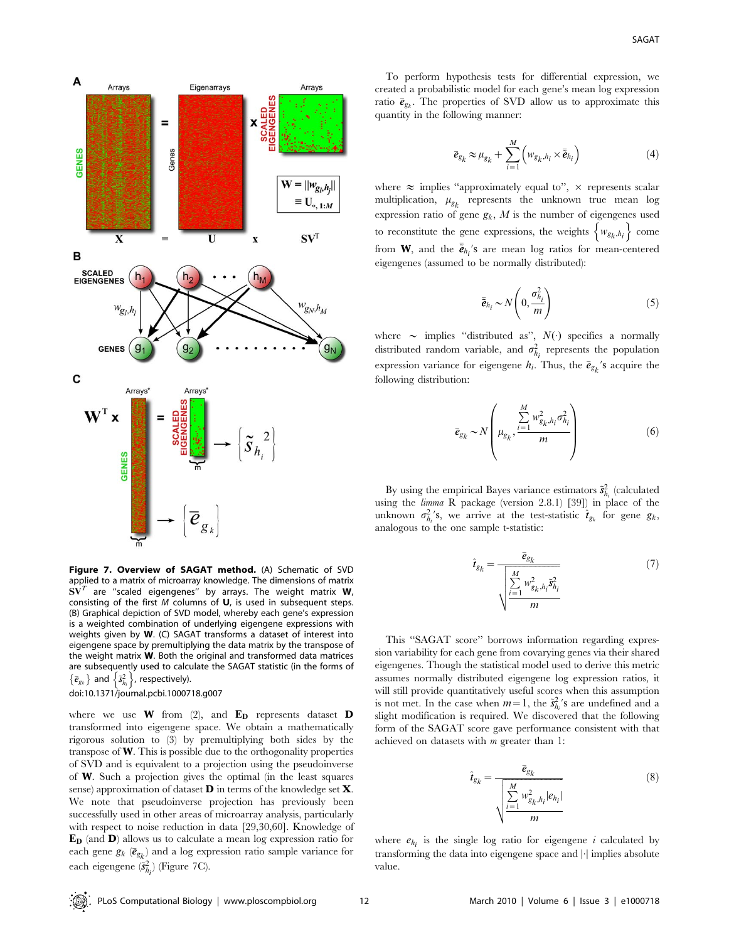

Figure 7. Overview of SAGAT method. (A) Schematic of SVD applied to a matrix of microarray knowledge. The dimensions of matrix  $S\mathbf{V}^T$  are "scaled eigengenes" by arrays. The weight matrix  $\mathbf{W}$ , consisting of the first  $M$  columns of  $U$ , is used in subsequent steps. (B) Graphical depiction of SVD model, whereby each gene's expression is a weighted combination of underlying eigengene expressions with weights given by W. (C) SAGAT transforms a dataset of interest into eigengene space by premultiplying the data matrix by the transpose of the weight matrix W. Both the original and transformed data matrices are subsequently used to calculate the SAGAT statistic (in the forms of are subsequently used to calculate subsequently used to calculate doi:10.1371/journal.pcbi.1000718.g007

where we use **W** from (2), and  $\mathbf{E_D}$  represents dataset **D** transformed into eigengene space. We obtain a mathematically rigorous solution to (3) by premultiplying both sides by the transpose of  $W$ . This is possible due to the orthogonality properties of SVD and is equivalent to a projection using the pseudoinverse of W. Such a projection gives the optimal (in the least squares sense) approximation of dataset D in terms of the knowledge set X. We note that pseudoinverse projection has previously been successfully used in other areas of microarray analysis, particularly with respect to noise reduction in data [29,30,60]. Knowledge of ED (and D) allows us to calculate a mean log expression ratio for each gene  $g_k$   $(\bar{e}_{g_k})$  and a log expression ratio sample variance for each eigengene  $(\tilde{s}_{h_i}^2)$  (Figure 7C).

To perform hypothesis tests for differential expression, we created a probabilistic model for each gene's mean log expression ratio  $\bar{\mathbf{e}}_{g_k}$ . The properties of SVD allow us to approximate this quantity in the following manner:

$$
\bar{e}_{g_k} \approx \mu_{g_k} + \sum_{i=1}^{M} \left( w_{g_k, h_i} \times \bar{\tilde{e}}_{h_i} \right)
$$
(4)

where  $\approx$  implies "approximately equal to",  $\times$  represents scalar multiplication,  $\mu_{g_k}$  represents the unknown true mean log expression ratio of gene  $g_k$ ,  $M$  is the number of eigengenes used to reconstitute the gene expressions, the weights  $\{w_{g_k, h_i}\}$  come from **W**, and the  $\bar{\tilde{e}}_{h_i}$ 's are mean log ratios for mean-centered eigengenes (assumed to be normally distributed):

$$
\bar{\tilde{e}}_{h_i} \sim N\left(0, \frac{\sigma_{h_i}^2}{m}\right) \tag{5}
$$

where  $\sim$  implies "distributed as",  $N(\cdot)$  specifies a normally distributed random variable, and  $\sigma_{h_i}^2$  represents the population expression variance for eigengene  $h_i$ . Thus, the  $\bar{e}_{g_k}$ 's acquire the following distribution:

$$
\bar{e}_{g_k} \sim N \left( \mu_{g_k}, \frac{\sum\limits_{i=1}^M w_{g_k, h_i}^2 \sigma_{h_i}^2}{m} \right)
$$
 (6)

By using the empirical Bayes variance estimators  $\tilde{s}_{h_i}^2$  (calculated using the limma R package (version 2.8.1) [39]) in place of the unknown  $\sigma_{h_i}^2$ 's, we arrive at the test-statistic  $\hat{\mathbf{t}}_{g_k}$  for gene  $g_k$ , analogous to the one sample t-statistic:

$$
\hat{t}_{g_k} = \frac{\bar{e}_{g_k}}{\sqrt{\sum_{i=1}^{M} w_{g_k, h_i}^2 \hat{s}_{h_i}^2}}
$$
(7)

This ''SAGAT score'' borrows information regarding expression variability for each gene from covarying genes via their shared eigengenes. Though the statistical model used to derive this metric assumes normally distributed eigengene log expression ratios, it will still provide quantitatively useful scores when this assumption is not met. In the case when  $m=1$ , the  $\tilde{s}_{h_i}^2$ 's are undefined and a slight modification is required. We discovered that the following form of the SAGAT score gave performance consistent with that achieved on datasets with  $m$  greater than 1:

$$
\hat{\mathbf{t}}_{g_k} = \frac{\bar{\mathbf{e}}_{g_k}}{\sqrt{\sum_{i=1}^{M} w_{g_k, h_i}^2 |e_{h_i}|}}
$$
(8)

where  $e_{h_i}$  is the single log ratio for eigengene i calculated by transforming the data into eigengene space and  $|\cdot|$  implies absolute value.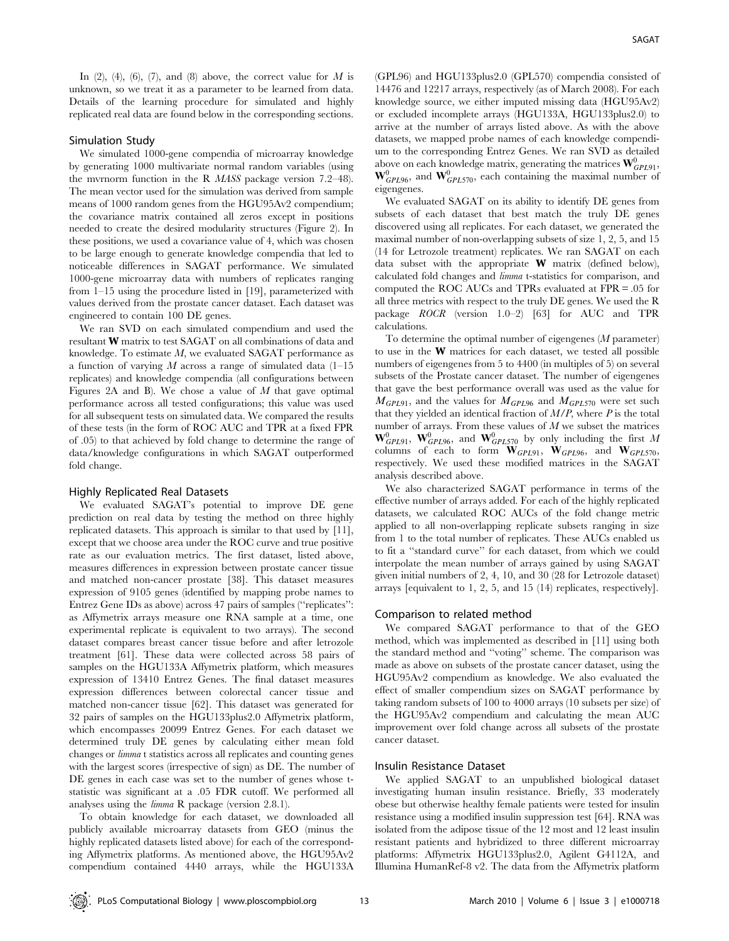In  $(2)$ ,  $(4)$ ,  $(6)$ ,  $(7)$ , and  $(8)$  above, the correct value for M is unknown, so we treat it as a parameter to be learned from data. Details of the learning procedure for simulated and highly replicated real data are found below in the corresponding sections.

## Simulation Study

We simulated 1000-gene compendia of microarray knowledge by generating 1000 multivariate normal random variables (using the mvrnorm function in the R MASS package version 7.2–48). The mean vector used for the simulation was derived from sample means of 1000 random genes from the HGU95Av2 compendium; the covariance matrix contained all zeros except in positions needed to create the desired modularity structures (Figure 2). In these positions, we used a covariance value of 4, which was chosen to be large enough to generate knowledge compendia that led to noticeable differences in SAGAT performance. We simulated 1000-gene microarray data with numbers of replicates ranging from 1–15 using the procedure listed in [19], parameterized with values derived from the prostate cancer dataset. Each dataset was engineered to contain 100 DE genes.

We ran SVD on each simulated compendium and used the resultant W matrix to test SAGAT on all combinations of data and knowledge. To estimate M, we evaluated SAGAT performance as a function of varying M across a range of simulated data  $(1-15)$ replicates) and knowledge compendia (all configurations between Figures 2A and B). We chose a value of  $M$  that gave optimal performance across all tested configurations; this value was used for all subsequent tests on simulated data. We compared the results of these tests (in the form of ROC AUC and TPR at a fixed FPR of .05) to that achieved by fold change to determine the range of data/knowledge configurations in which SAGAT outperformed fold change.

#### Highly Replicated Real Datasets

We evaluated SAGAT's potential to improve DE gene prediction on real data by testing the method on three highly replicated datasets. This approach is similar to that used by [11], except that we choose area under the ROC curve and true positive rate as our evaluation metrics. The first dataset, listed above, measures differences in expression between prostate cancer tissue and matched non-cancer prostate [38]. This dataset measures expression of 9105 genes (identified by mapping probe names to Entrez Gene IDs as above) across 47 pairs of samples (''replicates'': as Affymetrix arrays measure one RNA sample at a time, one experimental replicate is equivalent to two arrays). The second dataset compares breast cancer tissue before and after letrozole treatment [61]. These data were collected across 58 pairs of samples on the HGU133A Affymetrix platform, which measures expression of 13410 Entrez Genes. The final dataset measures expression differences between colorectal cancer tissue and matched non-cancer tissue [62]. This dataset was generated for 32 pairs of samples on the HGU133plus2.0 Affymetrix platform, which encompasses 20099 Entrez Genes. For each dataset we determined truly DE genes by calculating either mean fold changes or limma t statistics across all replicates and counting genes with the largest scores (irrespective of sign) as DE. The number of DE genes in each case was set to the number of genes whose tstatistic was significant at a .05 FDR cutoff. We performed all analyses using the limma R package (version 2.8.1).

To obtain knowledge for each dataset, we downloaded all publicly available microarray datasets from GEO (minus the highly replicated datasets listed above) for each of the corresponding Affymetrix platforms. As mentioned above, the HGU95Av2 compendium contained 4440 arrays, while the HGU133A

(GPL96) and HGU133plus2.0 (GPL570) compendia consisted of 14476 and 12217 arrays, respectively (as of March 2008). For each knowledge source, we either imputed missing data (HGU95Av2) or excluded incomplete arrays (HGU133A, HGU133plus2.0) to arrive at the number of arrays listed above. As with the above datasets, we mapped probe names of each knowledge compendium to the corresponding Entrez Genes. We ran SVD as detailed above on each knowledge matrix, generating the matrices  $\mathbf{W}_{GPL91}^0$ ,  $\mathbf{W}_{GPL96}^0$ , and  $\mathbf{W}_{GPL570}^0$ , each containing the maximal number of eigengenes.

We evaluated SAGAT on its ability to identify DE genes from subsets of each dataset that best match the truly DE genes discovered using all replicates. For each dataset, we generated the maximal number of non-overlapping subsets of size 1, 2, 5, and 15 (14 for Letrozole treatment) replicates. We ran SAGAT on each data subset with the appropriate W matrix (defined below), calculated fold changes and limma t-statistics for comparison, and computed the ROC AUCs and TPRs evaluated at FPR = .05 for all three metrics with respect to the truly DE genes. We used the R package ROCR (version 1.0–2) [63] for AUC and TPR calculations.

To determine the optimal number of eigengenes  $(M$  parameter) to use in the W matrices for each dataset, we tested all possible numbers of eigengenes from 5 to 4400 (in multiples of 5) on several subsets of the Prostate cancer dataset. The number of eigengenes that gave the best performance overall was used as the value for  $M_{GPL91}$ , and the values for  $M_{GPL96}$  and  $M_{GPL570}$  were set such that they yielded an identical fraction of  $M/P$ , where  $P$  is the total number of arrays. From these values of  $M$  we subset the matrices  $\mathbf{W}_{GPL91}^{0}$ ,  $\mathbf{W}_{GPL96}^{0}$ , and  $\mathbf{W}_{GPL570}^{0}$  by only including the first  $M$ columns of each to form  $\mathbf{W}_{GPL91}$ ,  $\mathbf{W}_{GPL96}$ , and  $\mathbf{W}_{GPL570}$ , respectively. We used these modified matrices in the SAGAT analysis described above.

We also characterized SAGAT performance in terms of the effective number of arrays added. For each of the highly replicated datasets, we calculated ROC AUCs of the fold change metric applied to all non-overlapping replicate subsets ranging in size from 1 to the total number of replicates. These AUCs enabled us to fit a ''standard curve'' for each dataset, from which we could interpolate the mean number of arrays gained by using SAGAT given initial numbers of 2, 4, 10, and 30 (28 for Letrozole dataset) arrays [equivalent to 1, 2, 5, and 15 (14) replicates, respectively].

# Comparison to related method

We compared SAGAT performance to that of the GEO method, which was implemented as described in [11] using both the standard method and ''voting'' scheme. The comparison was made as above on subsets of the prostate cancer dataset, using the HGU95Av2 compendium as knowledge. We also evaluated the effect of smaller compendium sizes on SAGAT performance by taking random subsets of 100 to 4000 arrays (10 subsets per size) of the HGU95Av2 compendium and calculating the mean AUC improvement over fold change across all subsets of the prostate cancer dataset.

#### Insulin Resistance Dataset

We applied SAGAT to an unpublished biological dataset investigating human insulin resistance. Briefly, 33 moderately obese but otherwise healthy female patients were tested for insulin resistance using a modified insulin suppression test [64]. RNA was isolated from the adipose tissue of the 12 most and 12 least insulin resistant patients and hybridized to three different microarray platforms: Affymetrix HGU133plus2.0, Agilent G4112A, and Illumina HumanRef-8 v2. The data from the Affymetrix platform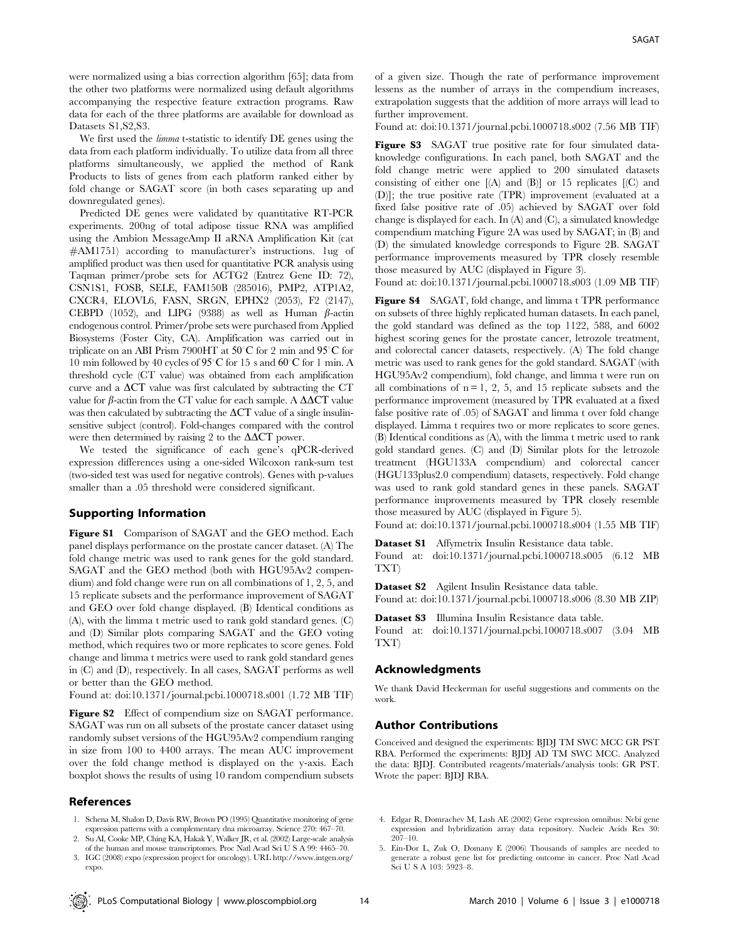were normalized using a bias correction algorithm [65]; data from the other two platforms were normalized using default algorithms accompanying the respective feature extraction programs. Raw data for each of the three platforms are available for download as Datasets S1,S2,S3.

We first used the *limma* t-statistic to identify DE genes using the data from each platform individually. To utilize data from all three platforms simultaneously, we applied the method of Rank Products to lists of genes from each platform ranked either by fold change or SAGAT score (in both cases separating up and downregulated genes).

Predicted DE genes were validated by quantitative RT-PCR experiments. 200ng of total adipose tissue RNA was amplified using the Ambion MessageAmp II aRNA Amplification Kit (cat #AM1751) according to manufacturer's instructions. 1ug of amplified product was then used for quantitative PCR analysis using Taqman primer/probe sets for ACTG2 (Entrez Gene ID: 72), CSN1S1, FOSB, SELE, FAM150B (285016), PMP2, ATP1A2, CXCR4, ELOVL6, FASN, SRGN, EPHX2 (2053), F2 (2147), CEBPD (1052), and LIPG (9388) as well as Human  $\beta$ -actin endogenous control. Primer/probe sets were purchased from Applied Biosystems (Foster City, CA). Amplification was carried out in triplicate on an ABI Prism 7900HT at  $50^{\circ}$ C for 2 min and 95 $^{\circ}$ C for 10 min followed by 40 cycles of 95°C for 15 s and 60°C for 1 min. A threshold cycle (CT value) was obtained from each amplification curve and a  $\Delta CT$  value was first calculated by subtracting the CT value for  $\beta$ -actin from the CT value for each sample. A  $\Delta \Delta CT$  value was then calculated by subtracting the  $\Delta CT$  value of a single insulinsensitive subject (control). Fold-changes compared with the control were then determined by raising 2 to the  $\Delta \Delta CT$  power.

We tested the significance of each gene's qPCR-derived expression differences using a one-sided Wilcoxon rank-sum test (two-sided test was used for negative controls). Genes with p-values smaller than a .05 threshold were considered significant.

#### Supporting Information

Figure S1 Comparison of SAGAT and the GEO method. Each panel displays performance on the prostate cancer dataset. (A) The fold change metric was used to rank genes for the gold standard. SAGAT and the GEO method (both with HGU95Av2 compendium) and fold change were run on all combinations of 1, 2, 5, and 15 replicate subsets and the performance improvement of SAGAT and GEO over fold change displayed. (B) Identical conditions as (A), with the limma t metric used to rank gold standard genes. (C) and (D) Similar plots comparing SAGAT and the GEO voting method, which requires two or more replicates to score genes. Fold change and limma t metrics were used to rank gold standard genes in (C) and (D), respectively. In all cases, SAGAT performs as well or better than the GEO method.

Found at: doi:10.1371/journal.pcbi.1000718.s001 (1.72 MB TIF)

Figure S2 Effect of compendium size on SAGAT performance. SAGAT was run on all subsets of the prostate cancer dataset using randomly subset versions of the HGU95Av2 compendium ranging in size from 100 to 4400 arrays. The mean AUC improvement over the fold change method is displayed on the y-axis. Each boxplot shows the results of using 10 random compendium subsets

#### References

- 1. Schena M, Shalon D, Davis RW, Brown PO (1995) Quantitative monitoring of gene expression patterns with a complementary dna microarray. Science 270: 467–70. 2. Su AI, Cooke MP, Ching KA, Hakak Y, Walker JR, et al. (2002) Large-scale analysis
- of the human and mouse transcriptomes. Proc Natl Acad Sci U S A 99: 4465–70. 3. IGC (2008) expo (expression project for oncology). URL http://www.intgen.org/
- expo.

of a given size. Though the rate of performance improvement lessens as the number of arrays in the compendium increases, extrapolation suggests that the addition of more arrays will lead to further improvement.

Found at: doi:10.1371/journal.pcbi.1000718.s002 (7.56 MB TIF)

Figure S3 SAGAT true positive rate for four simulated dataknowledge configurations. In each panel, both SAGAT and the fold change metric were applied to 200 simulated datasets consisting of either one [(A) and (B)] or 15 replicates [(C) and (D)]; the true positive rate (TPR) improvement (evaluated at a fixed false positive rate of .05) achieved by SAGAT over fold change is displayed for each. In (A) and (C), a simulated knowledge compendium matching Figure 2A was used by SAGAT; in (B) and (D) the simulated knowledge corresponds to Figure 2B. SAGAT performance improvements measured by TPR closely resemble those measured by AUC (displayed in Figure 3).

Found at: doi:10.1371/journal.pcbi.1000718.s003 (1.09 MB TIF)

Figure S4 SAGAT, fold change, and limma t TPR performance on subsets of three highly replicated human datasets. In each panel, the gold standard was defined as the top 1122, 588, and 6002 highest scoring genes for the prostate cancer, letrozole treatment, and colorectal cancer datasets, respectively. (A) The fold change metric was used to rank genes for the gold standard. SAGAT (with HGU95Av2 compendium), fold change, and limma t were run on all combinations of  $n = 1, 2, 5$ , and 15 replicate subsets and the performance improvement (measured by TPR evaluated at a fixed false positive rate of .05) of SAGAT and limma t over fold change displayed. Limma t requires two or more replicates to score genes. (B) Identical conditions as (A), with the limma t metric used to rank gold standard genes. (C) and (D) Similar plots for the letrozole treatment (HGU133A compendium) and colorectal cancer (HGU133plus2.0 compendium) datasets, respectively. Fold change was used to rank gold standard genes in these panels. SAGAT performance improvements measured by TPR closely resemble those measured by AUC (displayed in Figure 5).

Found at: doi:10.1371/journal.pcbi.1000718.s004 (1.55 MB TIF)

Dataset S1 Affymetrix Insulin Resistance data table. Found at: doi:10.1371/journal.pcbi.1000718.s005 (6.12 MB TXT)

Dataset S2 Agilent Insulin Resistance data table. Found at: doi:10.1371/journal.pcbi.1000718.s006 (8.30 MB ZIP)

Dataset S3 Illumina Insulin Resistance data table. Found at: doi:10.1371/journal.pcbi.1000718.s007 (3.04 MB TXT)

#### Acknowledgments

We thank David Heckerman for useful suggestions and comments on the work.

# Author Contributions

Conceived and designed the experiments: BJDJ TM SWC MCC GR PST RBA. Performed the experiments: BJDJ AD TM SWC MCC. Analyzed the data: BJDJ. Contributed reagents/materials/analysis tools: GR PST. Wrote the paper: BJDJ RBA.

- 4. Edgar R, Domrachev M, Lash AE (2002) Gene expression omnibus: Ncbi gene expression and hybridization array data repository. Nucleic Acids Res 30:  $207 - 10.$
- 5. Ein-Dor L, Zuk O, Domany E (2006) Thousands of samples are needed to generate a robust gene list for predicting outcome in cancer. Proc Natl Acad Sci U S A 103: 5923–8.